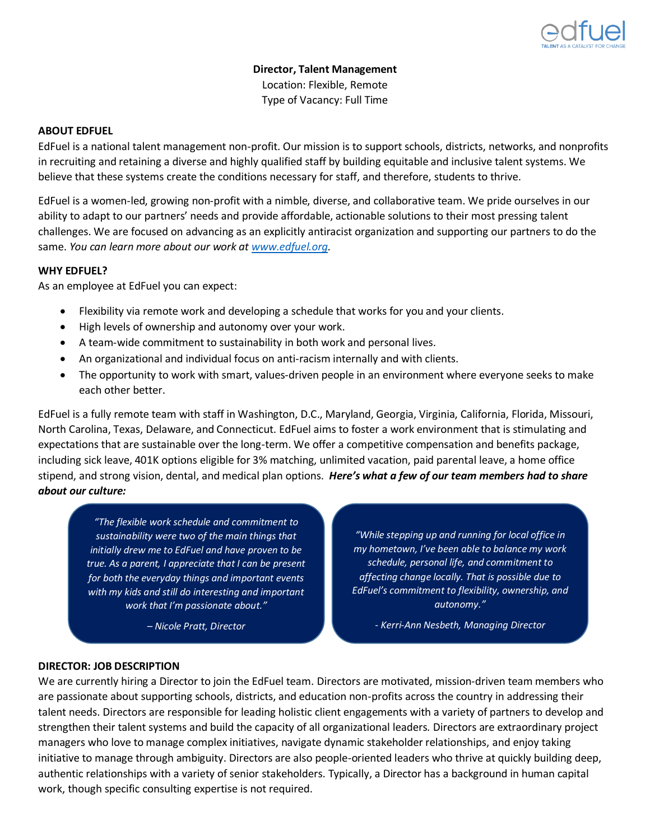

**Director, Talent Management** Location: Flexible, Remote Type of Vacancy: Full Time

#### **ABOUT EDFUEL**

EdFuel is a national talent management non-profit. Our mission is to support schools, districts, networks, and nonprofits in recruiting and retaining a diverse and highly qualified staff by building equitable and inclusive talent systems. We believe that these systems create the conditions necessary for staff, and therefore, students to thrive.

EdFuel is a women-led, growing non-profit with a nimble, diverse, and collaborative team. We pride ourselves in our ability to adapt to our partners' needs and provide affordable, actionable solutions to their most pressing talent challenges. We are focused on advancing as an explicitly antiracist organization and supporting our partners to do the same. *You can learn more about our work at [www.edfuel.org.](http://www.edfuel.org/)*

#### **WHY EDFUEL?**

As an employee at EdFuel you can expect:

- Flexibility via remote work and developing a schedule that works for you and your clients.
- High levels of ownership and autonomy over your work.
- A team-wide commitment to sustainability in both work and personal lives.
- An organizational and individual focus on anti-racism internally and with clients.
- The opportunity to work with smart, values-driven people in an environment where everyone seeks to make each other better.

EdFuel is a fully remote team with staff in Washington, D.C., Maryland, Georgia, Virginia, California, Florida, Missouri, North Carolina, Texas, Delaware, and Connecticut. EdFuel aims to foster a work environment that is stimulating and expectations that are sustainable over the long-term. We offer a competitive compensation and benefits package, including sick leave, 401K options eligible for 3% matching, unlimited vacation, paid parental leave, a home office stipend, and strong vision, dental, and medical plan options. *Here's what a few of our team members had to share about our culture:* 

*"The flexible work schedule and commitment to sustainability were two of the main things that initially drew me to EdFuel and have proven to be true. As a parent, I appreciate that I can be present for both the everyday things and important events with my kids and still do interesting and important work that I'm passionate about."*

*– Nicole Pratt, Director*

*"While stepping up and running for local office in my hometown, I've been able to balance my work schedule, personal life, and commitment to affecting change locally. That is possible due to EdFuel's commitment to flexibility, ownership, and autonomy."*

*- Kerri-Ann Nesbeth, Managing Director*

# **DIRECTOR: JOB DESCRIPTION**

We are currently hiring a Director to join the EdFuel team. Directors are motivated, mission-driven team members who are passionate about supporting schools, districts, and education non-profits across the country in addressing their talent needs. Directors are responsible for leading holistic client engagements with a variety of partners to develop and strengthen their talent systems and build the capacity of all organizational leaders. Directors are extraordinary project managers who love to manage complex initiatives, navigate dynamic stakeholder relationships, and enjoy taking initiative to manage through ambiguity. Directors are also people-oriented leaders who thrive at quickly building deep, authentic relationships with a variety of senior stakeholders. Typically, a Director has a background in human capital work, though specific consulting expertise is not required.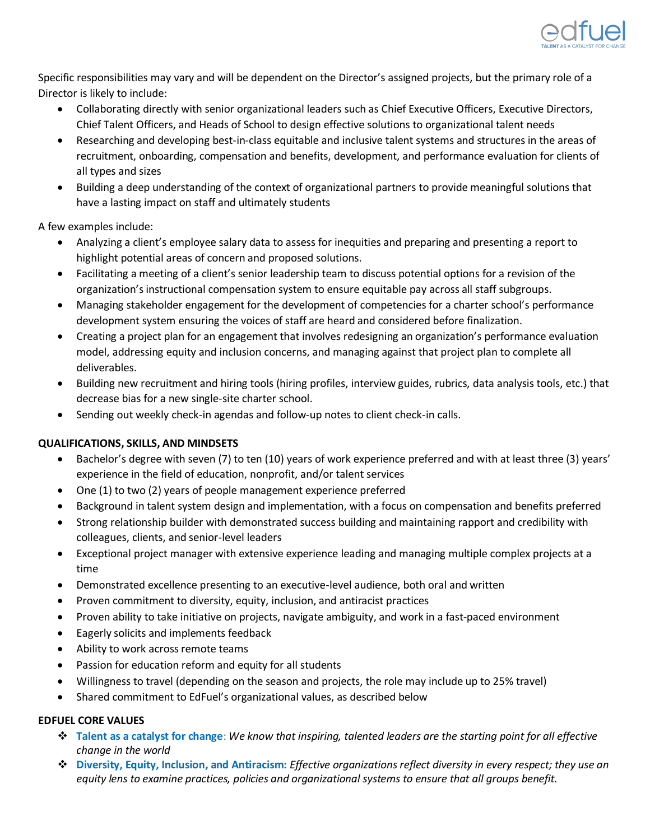

Specific responsibilities may vary and will be dependent on the Director's assigned projects, but the primary role of a Director is likely to include:

- Collaborating directly with senior organizational leaders such as Chief Executive Officers, Executive Directors, Chief Talent Officers, and Heads of School to design effective solutions to organizational talent needs
- Researching and developing best-in-class equitable and inclusive talent systems and structures in the areas of recruitment, onboarding, compensation and benefits, development, and performance evaluation for clients of all types and sizes
- Building a deep understanding of the context of organizational partners to provide meaningful solutions that have a lasting impact on staff and ultimately students

A few examples include:

- Analyzing a client's employee salary data to assess for inequities and preparing and presenting a report to highlight potential areas of concern and proposed solutions.
- Facilitating a meeting of a client's senior leadership team to discuss potential options for a revision of the organization's instructional compensation system to ensure equitable pay across all staff subgroups.
- Managing stakeholder engagement for the development of competencies for a charter school's performance development system ensuring the voices of staff are heard and considered before finalization.
- Creating a project plan for an engagement that involves redesigning an organization's performance evaluation model, addressing equity and inclusion concerns, and managing against that project plan to complete all deliverables.
- Building new recruitment and hiring tools (hiring profiles, interview guides, rubrics, data analysis tools, etc.) that decrease bias for a new single-site charter school.
- Sending out weekly check-in agendas and follow-up notes to client check-in calls.

# **QUALIFICATIONS, SKILLS, AND MINDSETS**

- Bachelor's degree with seven (7) to ten (10) years of work experience preferred and with at least three (3) years' experience in the field of education, nonprofit, and/or talent services
- One (1) to two (2) years of people management experience preferred
- Background in talent system design and implementation, with a focus on compensation and benefits preferred
- Strong relationship builder with demonstrated success building and maintaining rapport and credibility with colleagues, clients, and senior-level leaders
- Exceptional project manager with extensive experience leading and managing multiple complex projects at a time
- Demonstrated excellence presenting to an executive-level audience, both oral and written
- Proven commitment to diversity, equity, inclusion, and antiracist practices
- Proven ability to take initiative on projects, navigate ambiguity, and work in a fast-paced environment
- Eagerly solicits and implements feedback
- Ability to work across remote teams
- Passion for education reform and equity for all students
- Willingness to travel (depending on the season and projects, the role may include up to 25% travel)
- Shared commitment to EdFuel's organizational values, as described below

# **EDFUEL CORE VALUES**

- ❖ **Talent as a catalyst for change**: *We know that inspiring, talented leaders are the starting point for all effective change in the world*
- ❖ **Diversity, Equity, Inclusion, and Antiracism:** *Effective organizations reflect diversity in every respect; they use an equity lens to examine practices, policies and organizational systems to ensure that all groups benefit.*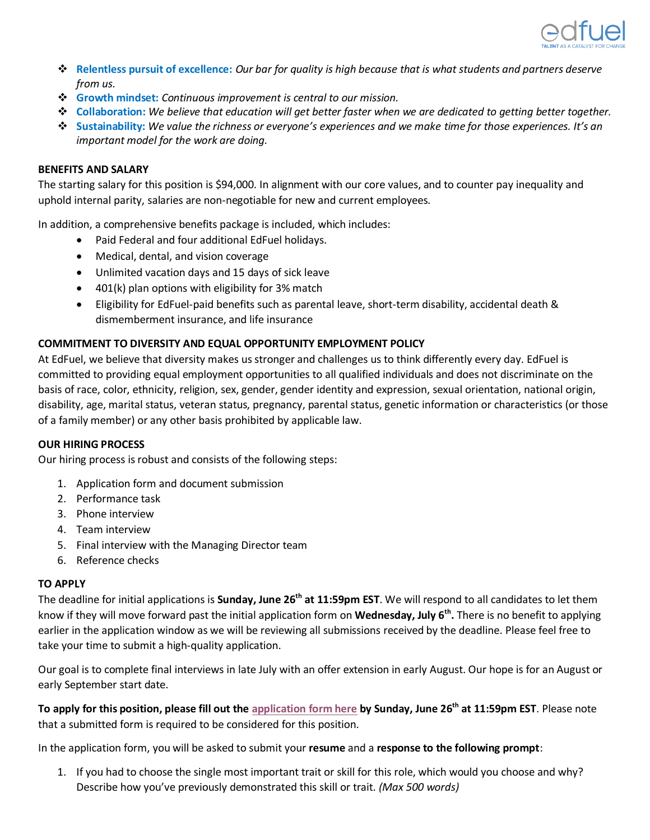

- ❖ **Relentless pursuit of excellence:** *Our bar for quality is high because that is what students and partners deserve from us.*
- ❖ **Growth mindset:** *Continuous improvement is central to our mission.*
- ❖ **Collaboration:** *We believe that education will get better faster when we are dedicated to getting better together.*
- ❖ **Sustainability:** *We value the richness or everyone's experiences and we make time for those experiences. It's an important model for the work are doing.*

### **BENEFITS AND SALARY**

The starting salary for this position is \$94,000. In alignment with our core values, and to counter pay inequality and uphold internal parity, salaries are non-negotiable for new and current employees.

In addition, a comprehensive benefits package is included, which includes:

- Paid Federal and four additional EdFuel holidays.
- Medical, dental, and vision coverage
- Unlimited vacation days and 15 days of sick leave
- 401(k) plan options with eligibility for 3% match
- Eligibility for EdFuel-paid benefits such as parental leave, short-term disability, accidental death & dismemberment insurance, and life insurance

# **COMMITMENT TO DIVERSITY AND EQUAL OPPORTUNITY EMPLOYMENT POLICY**

At EdFuel, we believe that diversity makes us stronger and challenges us to think differently every day. EdFuel is committed to providing equal employment opportunities to all qualified individuals and does not discriminate on the basis of race, color, ethnicity, religion, sex, gender, gender identity and expression, sexual orientation, national origin, disability, age, marital status, veteran status, pregnancy, parental status, genetic information or characteristics (or those of a family member) or any other basis prohibited by applicable law.

# **OUR HIRING PROCESS**

Our hiring process is robust and consists of the following steps:

- 1. Application form and document submission
- 2. Performance task
- 3. Phone interview
- 4. Team interview
- 5. Final interview with the Managing Director team
- 6. Reference checks

# **TO APPLY**

The deadline for initial applications is **Sunday, June 26th at 11:59pm EST**. We will respond to all candidates to let them know if they will move forward past the initial application form on **Wednesday, July 6th .** There is no benefit to applying earlier in the application window as we will be reviewing all submissions received by the deadline. Please feel free to take your time to submit a high-quality application.

Our goal is to complete final interviews in late July with an offer extension in early August. Our hope is for an August or early September start date.

**To apply for this position, please fill out the [application form here](https://docs.google.com/forms/d/e/1FAIpQLSc6fflD3hafmnYp8Plm6TXPcY-XN0L2MyLxTtA0UTJqJFQRYQ/viewform?usp=sf_link) by Sunday, June 26th at 11:59pm EST**. Please note that a submitted form is required to be considered for this position.

In the application form, you will be asked to submit your **resume** and a **response to the following prompt**:

1. If you had to choose the single most important trait or skill for this role, which would you choose and why? Describe how you've previously demonstrated this skill or trait. *(Max 500 words)*